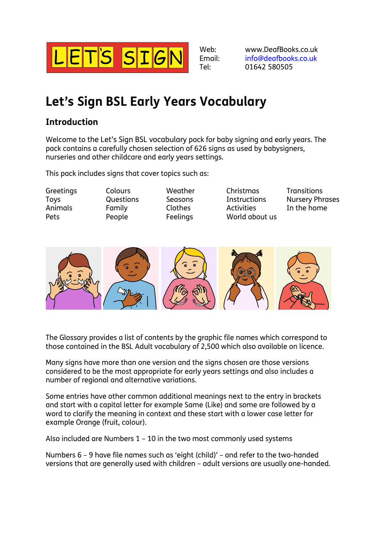

Web: Email: Tel:

www.DeafBooks.co.uk [info@deafbooks.co.uk](mailto:info@deafbooks.co.uk) 01642 580505

## **Let's Sign BSL Early Years Vocabulary**

## **Introduction**

Welcome to the Let's Sign BSL vocabulary pack for baby signing and early years. The pack contains a carefully chosen selection of 626 signs as used by babysigners, nurseries and other childcare and early years settings.

This pack includes signs that cover topics such as:

**Greetings** Toys Animals Pets

Colours Questions Family People

Weather Seasons Clothes **Feelings** 

Christmas **Instructions Activities** World about us

**Transitions** Nursery Phrases In the home



The Glossary provides a list of contents by the graphic file names which correspond to those contained in the BSL Adult vocabulary of 2,500 which also available on licence.

Many signs have more than one version and the signs chosen are those versions considered to be the most appropriate for early years settings and also includes a number of regional and alternative variations.

Some entries have other common additional meanings next to the entry in brackets and start with a capital letter for example Same (Like) and some are followed by a word to clarify the meaning in context and these start with a lower case letter for example Orange (fruit, colour).

Also included are Numbers 1 – 10 in the two most commonly used systems

Numbers 6 – 9 have file names such as 'eight (child)' – and refer to the two-handed versions that are generally used with children – adult versions are usually one-handed.